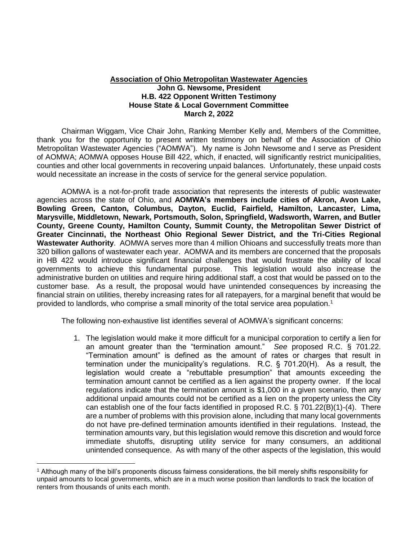## **Association of Ohio Metropolitan Wastewater Agencies John G. Newsome, President H.B. 422 Opponent Written Testimony House State & Local Government Committee March 2, 2022**

Chairman Wiggam, Vice Chair John, Ranking Member Kelly and, Members of the Committee, thank you for the opportunity to present written testimony on behalf of the Association of Ohio Metropolitan Wastewater Agencies ("AOMWA"). My name is John Newsome and I serve as President of AOMWA; AOMWA opposes House Bill 422, which, if enacted, will significantly restrict municipalities, counties and other local governments in recovering unpaid balances. Unfortunately, these unpaid costs would necessitate an increase in the costs of service for the general service population.

AOMWA is a not-for-profit trade association that represents the interests of public wastewater agencies across the state of Ohio, and **AOMWA's members include cities of Akron, Avon Lake, Bowling Green, Canton, Columbus, Dayton, Euclid, Fairfield, Hamilton, Lancaster, Lima, Marysville, Middletown, Newark, Portsmouth, Solon, Springfield, Wadsworth, Warren, and Butler County, Greene County, Hamilton County, Summit County, the Metropolitan Sewer District of Greater Cincinnati, the Northeast Ohio Regional Sewer District, and the Tri-Cities Regional Wastewater Authority**. AOMWA serves more than 4 million Ohioans and successfully treats more than 320 billion gallons of wastewater each year. AOMWA and its members are concerned that the proposals in HB 422 would introduce significant financial challenges that would frustrate the ability of local governments to achieve this fundamental purpose. This legislation would also increase the administrative burden on utilities and require hiring additional staff, a cost that would be passed on to the customer base. As a result, the proposal would have unintended consequences by increasing the financial strain on utilities, thereby increasing rates for all ratepayers, for a marginal benefit that would be provided to landlords, who comprise a small minority of the total service area population.<sup>1</sup>

The following non-exhaustive list identifies several of AOMWA's significant concerns:

1. The legislation would make it more difficult for a municipal corporation to certify a lien for an amount greater than the "termination amount." *See* proposed R.C. § 701.22. "Termination amount" is defined as the amount of rates or charges that result in termination under the municipality's regulations. R.C. § 701.20(H). As a result, the legislation would create a "rebuttable presumption" that amounts exceeding the termination amount cannot be certified as a lien against the property owner. If the local regulations indicate that the termination amount is \$1,000 in a given scenario, then any additional unpaid amounts could not be certified as a lien on the property unless the City can establish one of the four facts identified in proposed R.C. § 701.22(B)(1)-(4). There are a number of problems with this provision alone, including that many local governments do not have pre-defined termination amounts identified in their regulations. Instead, the termination amounts vary, but this legislation would remove this discretion and would force immediate shutoffs, disrupting utility service for many consumers, an additional unintended consequence. As with many of the other aspects of the legislation, this would

 $\overline{a}$ 

<sup>1</sup> Although many of the bill's proponents discuss fairness considerations, the bill merely shifts responsibility for unpaid amounts to local governments, which are in a much worse position than landlords to track the location of renters from thousands of units each month.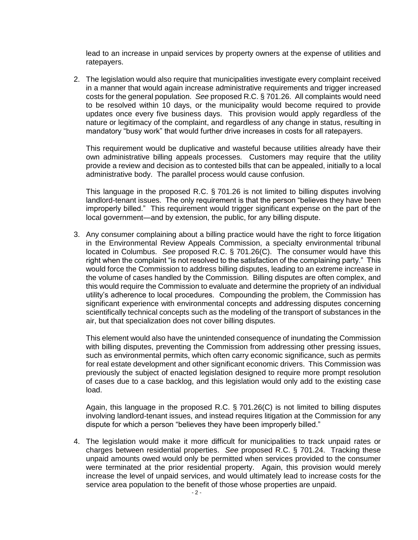lead to an increase in unpaid services by property owners at the expense of utilities and ratepayers.

2. The legislation would also require that municipalities investigate every complaint received in a manner that would again increase administrative requirements and trigger increased costs for the general population. *See* proposed R.C. § 701.26. All complaints would need to be resolved within 10 days, or the municipality would become required to provide updates once every five business days. This provision would apply regardless of the nature or legitimacy of the complaint, and regardless of any change in status, resulting in mandatory "busy work" that would further drive increases in costs for all ratepayers.

This requirement would be duplicative and wasteful because utilities already have their own administrative billing appeals processes. Customers may require that the utility provide a review and decision as to contested bills that can be appealed, initially to a local administrative body. The parallel process would cause confusion.

This language in the proposed R.C. § 701.26 is not limited to billing disputes involving landlord-tenant issues. The only requirement is that the person "believes they have been improperly billed." This requirement would trigger significant expense on the part of the local government—and by extension, the public, for any billing dispute.

3. Any consumer complaining about a billing practice would have the right to force litigation in the Environmental Review Appeals Commission, a specialty environmental tribunal located in Columbus. *See* proposed R.C. § 701.26(C). The consumer would have this right when the complaint "is not resolved to the satisfaction of the complaining party." This would force the Commission to address billing disputes, leading to an extreme increase in the volume of cases handled by the Commission. Billing disputes are often complex, and this would require the Commission to evaluate and determine the propriety of an individual utility's adherence to local procedures. Compounding the problem, the Commission has significant experience with environmental concepts and addressing disputes concerning scientifically technical concepts such as the modeling of the transport of substances in the air, but that specialization does not cover billing disputes.

This element would also have the unintended consequence of inundating the Commission with billing disputes, preventing the Commission from addressing other pressing issues, such as environmental permits, which often carry economic significance, such as permits for real estate development and other significant economic drivers. This Commission was previously the subject of enacted legislation designed to require more prompt resolution of cases due to a case backlog, and this legislation would only add to the existing case load.

Again, this language in the proposed R.C. § 701.26(C) is not limited to billing disputes involving landlord-tenant issues, and instead requires litigation at the Commission for any dispute for which a person "believes they have been improperly billed."

4. The legislation would make it more difficult for municipalities to track unpaid rates or charges between residential properties. *See* proposed R.C. § 701.24. Tracking these unpaid amounts owed would only be permitted when services provided to the consumer were terminated at the prior residential property. Again, this provision would merely increase the level of unpaid services, and would ultimately lead to increase costs for the service area population to the benefit of those whose properties are unpaid.